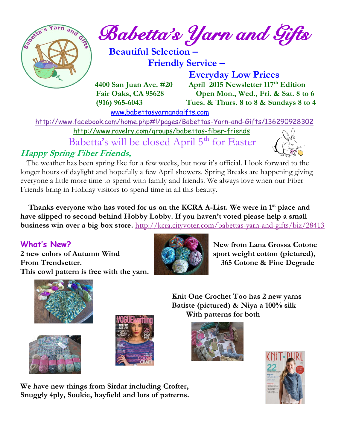

*Babetta's Yarn and Gifts* 

 **Beautiful Selection – Friendly Service –**

 **Everyday Low Prices 4400 San Juan Ave. #20 April 2015 Newsletter 117th Edition Fair Oaks, CA 95628 Open Mon., Wed., Fri. & Sat. 8 to 6 (916) 965-6043 Tues. & Thurs. 8 to 8 & Sundays 8 to 4** 

[www.babettasyarnandgifts.com](http://www.babettasyarnandgifts.com/)

<http://www.facebook.com/home.php#!/pages/Babettas-Yarn-and-Gifts/136290928302>

<http://www.ravelry.com/groups/babettas-fiber-friends>

Babetta's will be closed April 5<sup>th</sup> for Easter

### **Happy Spring Fiber Friends,**

 The weather has been spring like for a few weeks, but now it's official. I look forward to the longer hours of daylight and hopefully a few April showers. Spring Breaks are happening giving everyone a little more time to spend with family and friends. We always love when our Fiber Friends bring in Holiday visitors to spend time in all this beauty.

 **Thanks everyone who has voted for us on the KCRA A-List. We were in 1st place and have slipped to second behind Hobby Lobby. If you haven't voted please help a small business win over a big box store.** <http://kcra.cityvoter.com/babettas-yarn-and-gifts/biz/28413>

**2 new colors of Autumn Wind sport weight cotton (pictured),** From Trendsetter. **All and Strategies and Strategies and Strategies and Strategies and Strategies and Strategies and Strategies and Strategies and Strategies and Strategies and Strategies and Strategies and Strategies and This cowl pattern is free with the yarn.**



**What's New? New? New from Lana Grossa** Cotone







 **Knit One Crochet Too has 2 new yarns Batiste (pictured) & Niya a 100% silk With patterns for both**





**We have new things from Sirdar including Crofter, Snuggly 4ply, Soukie, hayfield and lots of patterns.**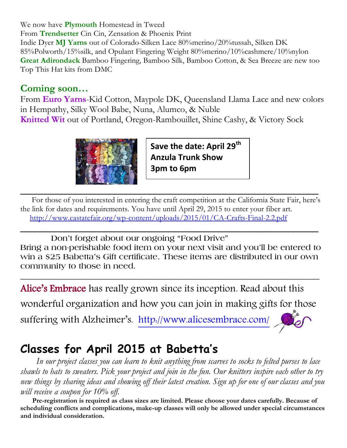We now have **Plymouth** Homestead in Tweed From **Trendsetter** Cin Cin, Zensation & Phoenix Print Indie Dyer **MJ Yarns** out of Colorado-Silken Lace 80%merino/20%tussah, Silken DK 85%Polworth/15%silk, and Opulant Fingering Weight 80%merino/10%cashmere/10%nylon **Great Adirondack** Bamboo Fingering, Bamboo Silk, Bamboo Cotton, & Sea Breeze are new too Top This Hat kits from DMC

#### **Coming soon…**

From **Euro Yarns**-Kid Cotton, Maypole DK, Queensland Llama Lace and new colors in Hempathy, Silky Wool Babe, Nuna, Alumco, & Nuble **Knitted Wit** out of Portland, Oregon-Rambouillet, Shine Cashy, & Victory Sock



**Save the date: April 29th Anzula Trunk Show 3pm to 6pm**

 $\overline{\phantom{a}}$  , and the contract of the contract of the contract of the contract of the contract of the contract of the contract of the contract of the contract of the contract of the contract of the contract of the contrac For those of you interested in entering the craft competition at the California State Fair, here's the link for dates and requirements. You have until April 29, 2015 to enter your fiber art. <http://www.castatefair.org/wp-content/uploads/2015/01/CA-Crafts-Final-2.2.pdf>

 $\overline{\phantom{a}}$  , and the contract of the contract of the contract of the contract of the contract of the contract of the contract of the contract of the contract of the contract of the contract of the contract of the contrac

 **Don't forget about our ongoing "Food Drive" Bring a non-perishable food item on your next visit and you'll be entered to win a \$25 Babetta's Gift certificate. These items are distributed in our own community to those in need.**

\_\_\_\_\_\_\_\_\_\_\_\_\_\_\_\_\_\_\_\_\_\_\_\_\_\_\_\_\_\_\_\_\_\_\_\_\_\_\_\_\_\_\_\_\_\_\_\_\_\_\_\_\_\_\_\_\_\_\_\_\_\_\_\_\_\_

Alice's Embrace has really grown since its inception. Read about this wonderful organization and how you can join in making gifts for those suffering with Alzheimer's. <http://www.alicesembrace.com/>

# **Classes for April 2015 at Babetta's**

 *In our project classes you can learn to knit anything from scarves to socks to felted purses to lace shawls to hats to sweaters. Pick your project and join in the fun. Our knitters inspire each other to try new things by sharing ideas and showing off their latest creation. Sign up for one of our classes and you will receive a coupon for 10% off.*

 **Pre-registration is required as class sizes are limited. Please choose your dates carefully. Because of scheduling conflicts and complications, make-up classes will only be allowed under special circumstances and individual consideration.**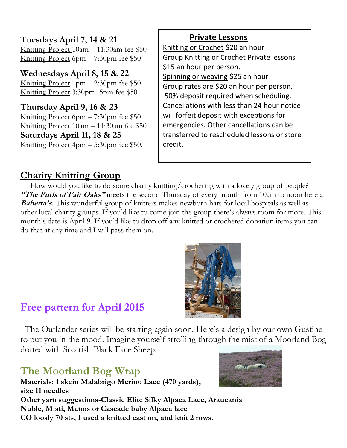#### **Tuesdays April 7, 14 & 21**

Knitting Project 10am – 11:30am fee \$50 Knitting Project 6pm – 7:30pm fee \$50

### **Wednesdays April 8, 15 & 22**

Knitting Project 1pm  $-$  2:30pm fee \$50 Knitting Project 3:30pm- 5pm fee \$50

**Thursday April 9, 16 & 23** Knitting Project 6pm – 7:30pm fee \$50 Knitting Project 10am – 11:30am fee \$50 **Saturdays April 11, 18 & 25** Knitting Project 4pm – 5:30pm fee \$50.

#### **Private Lessons**

Knitting or Crochet \$20 an hour Group Knitting or Crochet Private lessons \$15 an hour per person. Spinning or weaving \$25 an hour Group rates are \$20 an hour per person. 50% deposit required when scheduling. Cancellations with less than 24 hour notice will forfeit deposit with exceptions for emergencies. Other cancellations can be transferred to rescheduled lessons or store credit.

## **Charity Knitting Group**

 How would you like to do some charity knitting/crocheting with a lovely group of people? **"The Purls of Fair Oaks"** meets the second Thursday of every month from 10am to noon here at **Babetta's.** This wonderful group of knitters makes newborn hats for local hospitals as well as other local charity groups. If you'd like to come join the group there's always room for more. This month's date is April 9. If you'd like to drop off any knitted or crocheted donation items you can do that at any time and I will pass them on.

# **Free pattern for April 2015**

 The Outlander series will be starting again soon. Here's a design by our own Gustine to put you in the mood. Imagine yourself strolling through the mist of a Moorland Bog dotted with Scottish Black Face Sheep.

# **The Moorland Bog Wrap**

**Materials: 1 skein Malabrigo Merino Lace (470 yards), size 11 needles Other yarn suggestions-Classic Elite Silky Alpaca Lace, Araucania Nuble, Misti, Manos or Cascade baby Alpaca lace CO loosly 70 sts, I used a knitted cast on, and knit 2 rows.**